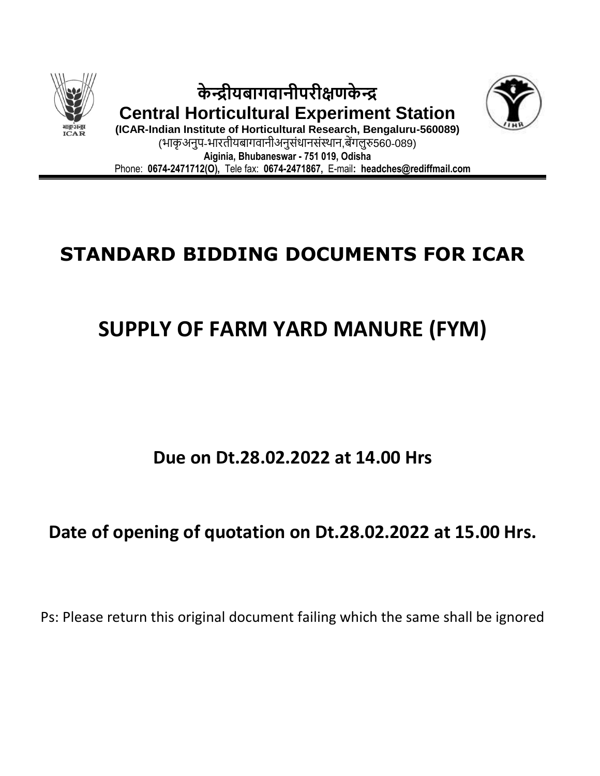

**के न्द्रीयबागवानीपरीक्षणके न्द्र Central Horticultural Experiment Station**



**(ICAR-Indian Institute of Horticultural Research, Bengaluru-560089)** (भाकृअनुप-भारतीयबागवानीअनुसंधानसंस्थान,बेंगलुरु560-089) **Aiginia, Bhubaneswar - 751 019, Odisha** Phone: **0674-2471712(O),** Tele fax: **0674-2471867,** E-mail**: headches@rediffmail.com** 

# **STANDARD BIDDING DOCUMENTS FOR ICAR**

# **SUPPLY OF FARM YARD MANURE (FYM)**

## **Due on Dt.28.02.2022 at 14.00 Hrs**

## **Date of opening of quotation on Dt.28.02.2022 at 15.00 Hrs.**

Ps: Please return this original document failing which the same shall be ignored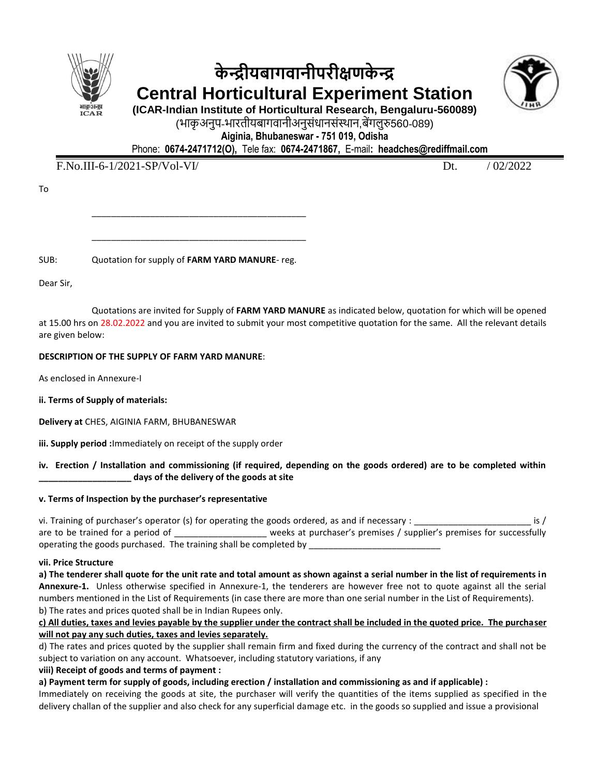

## **के न्द्रीयबागवानीपरीक्षणके न्द्र Central Horticultural Experiment Station**



**(ICAR-Indian Institute of Horticultural Research, Bengaluru-560089)** (भाकृअनुप-भारतीयबागवानीअनुसंधानसंस्थान,बेंगलुरु560-089)

**Aiginia, Bhubaneswar - 751 019, Odisha**

Phone: **0674-2471712(O),** Tele fax: **0674-2471867,** E-mail**: headches@rediffmail.com** 

F.No.III-6-1/2021-SP/Vol-VI/ Dt. / 02/2022

To

SUB: Quotation for supply of **FARM YARD MANURE**- reg.

\_\_\_\_\_\_\_\_\_\_\_\_\_\_\_\_\_\_\_\_\_\_\_\_\_\_\_\_\_\_\_\_\_\_\_\_\_\_\_\_\_\_\_\_

\_\_\_\_\_\_\_\_\_\_\_\_\_\_\_\_\_\_\_\_\_\_\_\_\_\_\_\_\_\_\_\_\_\_\_\_\_\_\_\_\_\_\_\_

Dear Sir,

Quotations are invited for Supply of **FARM YARD MANURE** as indicated below, quotation for which will be opened at 15.00 hrs on 28.02.2022 and you are invited to submit your most competitive quotation for the same. All the relevant details are given below:

### **DESCRIPTION OF THE SUPPLY OF FARM YARD MANURE**:

As enclosed in Annexure-I

- **ii. Terms of Supply of materials:**
- **Delivery at** CHES, AIGINIA FARM, BHUBANESWAR

**iii. Supply period :**Immediately on receipt of the supply order

### **iv. Erection / Installation and commissioning (if required, depending on the goods ordered) are to be completed within \_\_\_\_\_\_\_\_\_\_\_\_\_\_\_\_\_\_\_ days of the delivery of the goods at site**

## **v. Terms of Inspection by the purchaser's representative**

| vi. Training of purchaser's operator (s) for operating the goods ordered, as and if necessary : $\overline{\phantom{a}}$ |                                                                      |  |
|--------------------------------------------------------------------------------------------------------------------------|----------------------------------------------------------------------|--|
| are to be trained for a period of                                                                                        | weeks at purchaser's premises / supplier's premises for successfully |  |
| operating the goods purchased. The training shall be completed by                                                        |                                                                      |  |

### **vii. Price Structure**

**a) The tenderer shall quote for the unit rate and total amount as shown against a serial number in the list of requirements in Annexure-1.** Unless otherwise specified in Annexure-1, the tenderers are however free not to quote against all the serial numbers mentioned in the List of Requirements (in case there are more than one serial number in the List of Requirements). b) The rates and prices quoted shall be in Indian Rupees only.

### **c) All duties, taxes and levies payable by the supplier under the contract shall be included in the quoted price. The purchaser will not pay any such duties, taxes and levies separately.**

d) The rates and prices quoted by the supplier shall remain firm and fixed during the currency of the contract and shall not be subject to variation on any account. Whatsoever, including statutory variations, if any

**viii) Receipt of goods and terms of payment :**

**a) Payment term for supply of goods, including erection / installation and commissioning as and if applicable) :**

Immediately on receiving the goods at site, the purchaser will verify the quantities of the items supplied as specified in the delivery challan of the supplier and also check for any superficial damage etc. in the goods so supplied and issue a provisional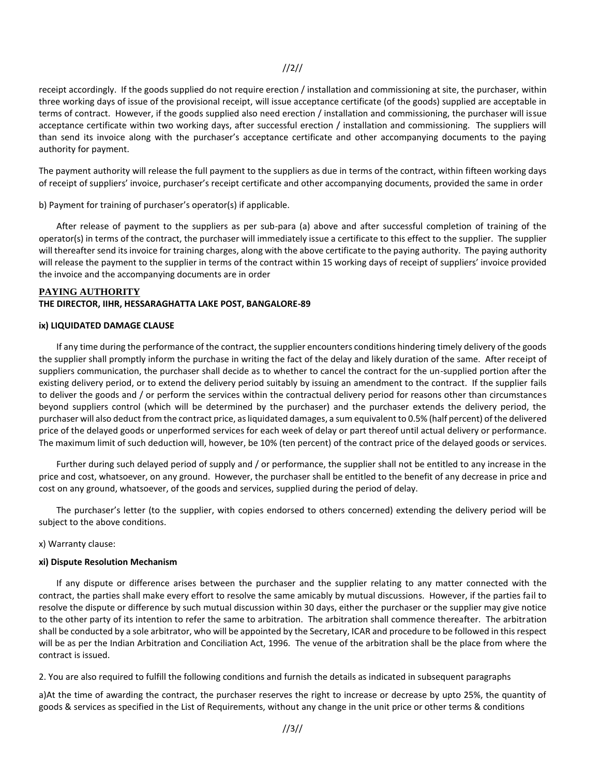## //2//

receipt accordingly. If the goods supplied do not require erection / installation and commissioning at site, the purchaser, within three working days of issue of the provisional receipt, will issue acceptance certificate (of the goods) supplied are acceptable in terms of contract. However, if the goods supplied also need erection / installation and commissioning, the purchaser will issue acceptance certificate within two working days, after successful erection / installation and commissioning. The suppliers will than send its invoice along with the purchaser's acceptance certificate and other accompanying documents to the paying authority for payment.

The payment authority will release the full payment to the suppliers as due in terms of the contract, within fifteen working days of receipt of suppliers' invoice, purchaser's receipt certificate and other accompanying documents, provided the same in order

b) Payment for training of purchaser's operator(s) if applicable.

After release of payment to the suppliers as per sub-para (a) above and after successful completion of training of the operator(s) in terms of the contract, the purchaser will immediately issue a certificate to this effect to the supplier. The supplier will thereafter send its invoice for training charges, along with the above certificate to the paying authority. The paying authority will release the payment to the supplier in terms of the contract within 15 working days of receipt of suppliers' invoice provided the invoice and the accompanying documents are in order

#### **PAYING AUTHORITY**

#### **THE DIRECTOR, IIHR, HESSARAGHATTA LAKE POST, BANGALORE-89**

#### **ix) LIQUIDATED DAMAGE CLAUSE**

If any time during the performance of the contract, the supplier encounters conditions hindering timely delivery of the goods the supplier shall promptly inform the purchase in writing the fact of the delay and likely duration of the same. After receipt of suppliers communication, the purchaser shall decide as to whether to cancel the contract for the un-supplied portion after the existing delivery period, or to extend the delivery period suitably by issuing an amendment to the contract. If the supplier fails to deliver the goods and / or perform the services within the contractual delivery period for reasons other than circumstances beyond suppliers control (which will be determined by the purchaser) and the purchaser extends the delivery period, the purchaser will also deduct from the contract price, as liquidated damages, a sum equivalent to 0.5% (half percent) of the delivered price of the delayed goods or unperformed services for each week of delay or part thereof until actual delivery or performance. The maximum limit of such deduction will, however, be 10% (ten percent) of the contract price of the delayed goods or services.

Further during such delayed period of supply and / or performance, the supplier shall not be entitled to any increase in the price and cost, whatsoever, on any ground. However, the purchaser shall be entitled to the benefit of any decrease in price and cost on any ground, whatsoever, of the goods and services, supplied during the period of delay.

The purchaser's letter (to the supplier, with copies endorsed to others concerned) extending the delivery period will be subject to the above conditions.

#### x) Warranty clause:

#### **xi) Dispute Resolution Mechanism**

If any dispute or difference arises between the purchaser and the supplier relating to any matter connected with the contract, the parties shall make every effort to resolve the same amicably by mutual discussions. However, if the parties fail to resolve the dispute or difference by such mutual discussion within 30 days, either the purchaser or the supplier may give notice to the other party of its intention to refer the same to arbitration. The arbitration shall commence thereafter. The arbitration shall be conducted by a sole arbitrator, who will be appointed by the Secretary, ICAR and procedure to be followed in this respect will be as per the Indian Arbitration and Conciliation Act, 1996. The venue of the arbitration shall be the place from where the contract is issued.

2. You are also required to fulfill the following conditions and furnish the details as indicated in subsequent paragraphs

a)At the time of awarding the contract, the purchaser reserves the right to increase or decrease by upto 25%, the quantity of goods & services as specified in the List of Requirements, without any change in the unit price or other terms & conditions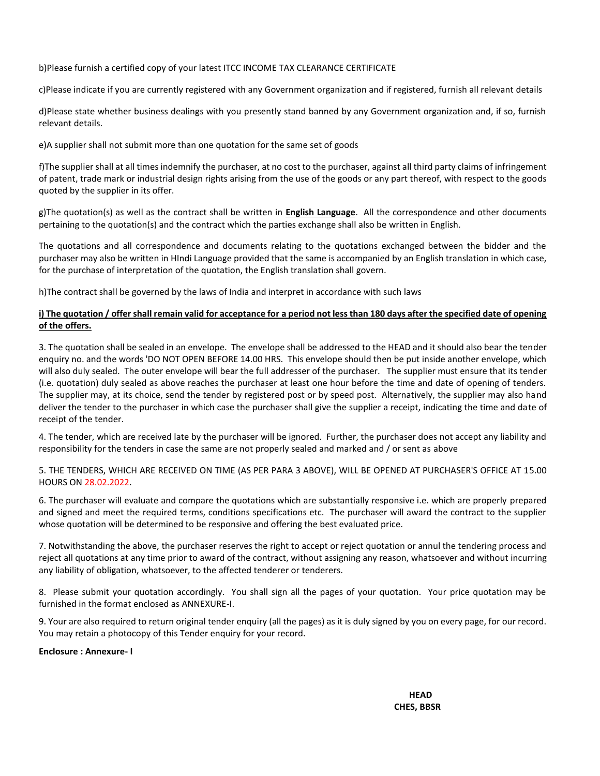b)Please furnish a certified copy of your latest ITCC INCOME TAX CLEARANCE CERTIFICATE

c)Please indicate if you are currently registered with any Government organization and if registered, furnish all relevant details

d)Please state whether business dealings with you presently stand banned by any Government organization and, if so, furnish relevant details.

e)A supplier shall not submit more than one quotation for the same set of goods

f)The supplier shall at all times indemnify the purchaser, at no cost to the purchaser, against all third party claims of infringement of patent, trade mark or industrial design rights arising from the use of the goods or any part thereof, with respect to the goods quoted by the supplier in its offer.

g)The quotation(s) as well as the contract shall be written in **English Language**. All the correspondence and other documents pertaining to the quotation(s) and the contract which the parties exchange shall also be written in English.

The quotations and all correspondence and documents relating to the quotations exchanged between the bidder and the purchaser may also be written in HIndi Language provided that the same is accompanied by an English translation in which case, for the purchase of interpretation of the quotation, the English translation shall govern.

h)The contract shall be governed by the laws of India and interpret in accordance with such laws

#### **i) The quotation / offer shall remain valid for acceptance for a period not less than 180 days after the specified date of opening of the offers.**

3. The quotation shall be sealed in an envelope. The envelope shall be addressed to the HEAD and it should also bear the tender enquiry no. and the words 'DO NOT OPEN BEFORE 14.00 HRS. This envelope should then be put inside another envelope, which will also duly sealed. The outer envelope will bear the full addresser of the purchaser. The supplier must ensure that its tender (i.e. quotation) duly sealed as above reaches the purchaser at least one hour before the time and date of opening of tenders. The supplier may, at its choice, send the tender by registered post or by speed post. Alternatively, the supplier may also hand deliver the tender to the purchaser in which case the purchaser shall give the supplier a receipt, indicating the time and date of receipt of the tender.

4. The tender, which are received late by the purchaser will be ignored. Further, the purchaser does not accept any liability and responsibility for the tenders in case the same are not properly sealed and marked and / or sent as above

5. THE TENDERS, WHICH ARE RECEIVED ON TIME (AS PER PARA 3 ABOVE), WILL BE OPENED AT PURCHASER'S OFFICE AT 15.00 HOURS ON 28.02.2022.

6. The purchaser will evaluate and compare the quotations which are substantially responsive i.e. which are properly prepared and signed and meet the required terms, conditions specifications etc. The purchaser will award the contract to the supplier whose quotation will be determined to be responsive and offering the best evaluated price.

7. Notwithstanding the above, the purchaser reserves the right to accept or reject quotation or annul the tendering process and reject all quotations at any time prior to award of the contract, without assigning any reason, whatsoever and without incurring any liability of obligation, whatsoever, to the affected tenderer or tenderers.

8. Please submit your quotation accordingly. You shall sign all the pages of your quotation. Your price quotation may be furnished in the format enclosed as ANNEXURE-I.

9. Your are also required to return original tender enquiry (all the pages) as it is duly signed by you on every page, for our record. You may retain a photocopy of this Tender enquiry for your record.

**Enclosure : Annexure- I**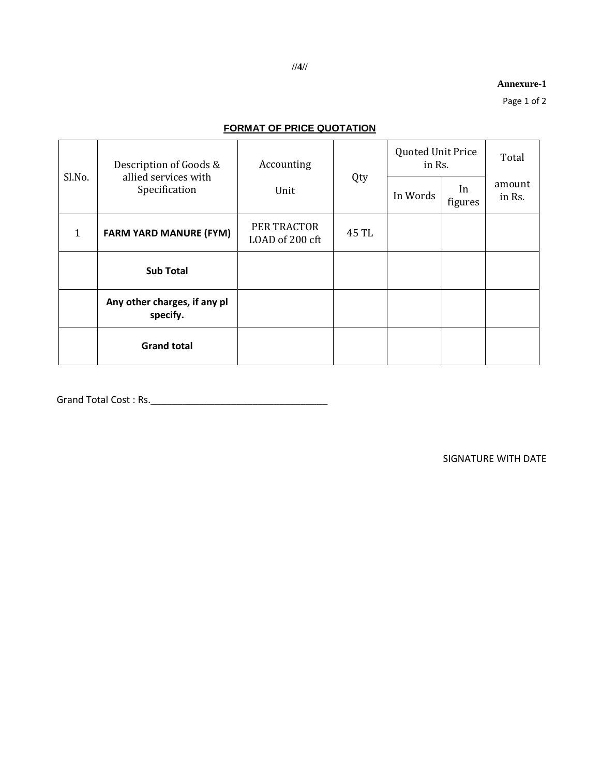**Annexure-1**

Page 1 of 2

## **FORMAT OF PRICE QUOTATION**

| Sl.No.       | Description of Goods &<br>allied services with<br>Specification | Accounting<br>Unit             | Qty   | <b>Quoted Unit Price</b><br>in Rs. |               | Total            |
|--------------|-----------------------------------------------------------------|--------------------------------|-------|------------------------------------|---------------|------------------|
|              |                                                                 |                                |       | In Words                           | In<br>figures | amount<br>in Rs. |
| $\mathbf{1}$ | <b>FARM YARD MANURE (FYM)</b>                                   | PER TRACTOR<br>LOAD of 200 cft | 45 TL |                                    |               |                  |
|              | <b>Sub Total</b>                                                |                                |       |                                    |               |                  |
|              | Any other charges, if any pl<br>specify.                        |                                |       |                                    |               |                  |
|              | <b>Grand total</b>                                              |                                |       |                                    |               |                  |

Grand Total Cost : Rs.\_\_\_\_\_\_\_\_\_\_\_\_\_\_\_\_\_\_\_\_\_\_\_\_\_\_\_\_\_\_\_\_\_

SIGNATURE WITH DATE